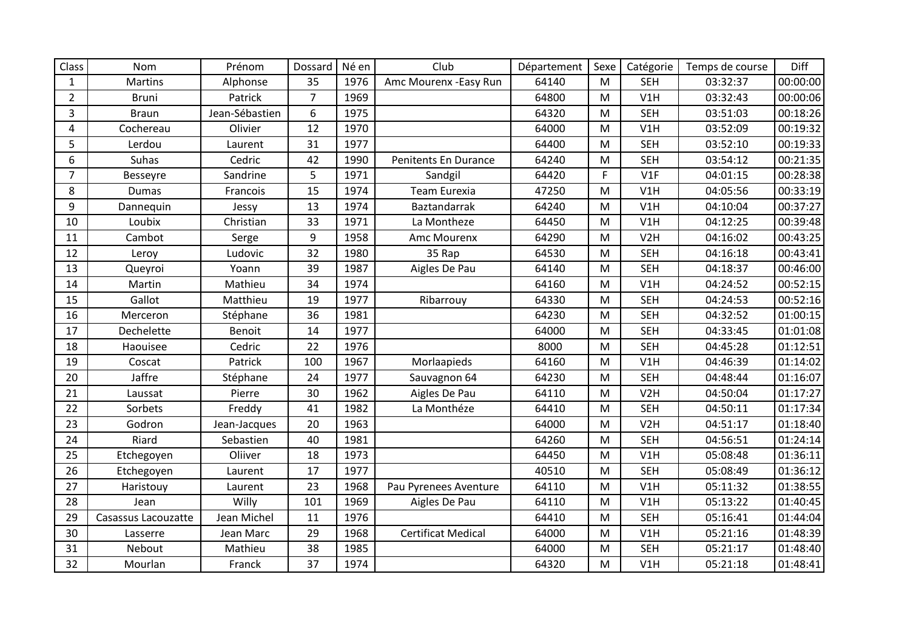| Class          | Nom                 | Prénom         | Dossard        | Né en | Club                      | Département | Sexe        | Catégorie        | Temps de course | Diff     |
|----------------|---------------------|----------------|----------------|-------|---------------------------|-------------|-------------|------------------|-----------------|----------|
| $\mathbf{1}$   | Martins             | Alphonse       | 35             | 1976  | Amc Mourenx - Easy Run    | 64140       | M           | <b>SEH</b>       | 03:32:37        | 00:00:00 |
| $\overline{2}$ | <b>Bruni</b>        | Patrick        | $\overline{7}$ | 1969  |                           | 64800       | M           | V1H              | 03:32:43        | 00:00:06 |
| 3              | <b>Braun</b>        | Jean-Sébastien | 6              | 1975  |                           | 64320       | M           | <b>SEH</b>       | 03:51:03        | 00:18:26 |
| 4              | Cochereau           | Olivier        | 12             | 1970  |                           | 64000       | M           | V1H              | 03:52:09        | 00:19:32 |
| 5              | Lerdou              | Laurent        | 31             | 1977  |                           | 64400       | M           | <b>SEH</b>       | 03:52:10        | 00:19:33 |
| 6              | Suhas               | Cedric         | 42             | 1990  | Penitents En Durance      | 64240       | M           | <b>SEH</b>       | 03:54:12        | 00:21:35 |
| $\overline{7}$ | <b>Besseyre</b>     | Sandrine       | 5              | 1971  | Sandgil                   | 64420       | $\mathsf F$ | V1F              | 04:01:15        | 00:28:38 |
| 8              | <b>Dumas</b>        | Francois       | 15             | 1974  | Team Eurexia              | 47250       | M           | V1H              | 04:05:56        | 00:33:19 |
| 9              | Dannequin           | Jessy          | 13             | 1974  | Baztandarrak              | 64240       | M           | V1H              | 04:10:04        | 00:37:27 |
| 10             | Loubix              | Christian      | 33             | 1971  | La Montheze               | 64450       | M           | V1H              | 04:12:25        | 00:39:48 |
| 11             | Cambot              | Serge          | 9              | 1958  | Amc Mourenx               | 64290       | M           | V <sub>2</sub> H | 04:16:02        | 00:43:25 |
| 12             | Leroy               | Ludovic        | 32             | 1980  | 35 Rap                    | 64530       | M           | <b>SEH</b>       | 04:16:18        | 00:43:41 |
| 13             | Queyroi             | Yoann          | 39             | 1987  | Aigles De Pau             | 64140       | M           | <b>SEH</b>       | 04:18:37        | 00:46:00 |
| 14             | Martin              | Mathieu        | 34             | 1974  |                           | 64160       | M           | V1H              | 04:24:52        | 00:52:15 |
| 15             | Gallot              | Matthieu       | 19             | 1977  | Ribarrouy                 | 64330       | M           | <b>SEH</b>       | 04:24:53        | 00:52:16 |
| 16             | Merceron            | Stéphane       | 36             | 1981  |                           | 64230       | M           | <b>SEH</b>       | 04:32:52        | 01:00:15 |
| 17             | Dechelette          | Benoit         | 14             | 1977  |                           | 64000       | M           | <b>SEH</b>       | 04:33:45        | 01:01:08 |
| 18             | Haouisee            | Cedric         | 22             | 1976  |                           | 8000        | M           | <b>SEH</b>       | 04:45:28        | 01:12:51 |
| 19             | Coscat              | Patrick        | 100            | 1967  | Morlaapieds               | 64160       | M           | V1H              | 04:46:39        | 01:14:02 |
| 20             | Jaffre              | Stéphane       | 24             | 1977  | Sauvagnon 64              | 64230       | M           | <b>SEH</b>       | 04:48:44        | 01:16:07 |
| 21             | Laussat             | Pierre         | 30             | 1962  | Aigles De Pau             | 64110       | M           | V <sub>2</sub> H | 04:50:04        | 01:17:27 |
| 22             | Sorbets             | Freddy         | 41             | 1982  | La Monthéze               | 64410       | M           | <b>SEH</b>       | 04:50:11        | 01:17:34 |
| 23             | Godron              | Jean-Jacques   | 20             | 1963  |                           | 64000       | M           | V <sub>2</sub> H | 04:51:17        | 01:18:40 |
| 24             | Riard               | Sebastien      | 40             | 1981  |                           | 64260       | M           | <b>SEH</b>       | 04:56:51        | 01:24:14 |
| 25             | Etchegoyen          | Oliiver        | 18             | 1973  |                           | 64450       | M           | V1H              | 05:08:48        | 01:36:11 |
| 26             | Etchegoyen          | Laurent        | 17             | 1977  |                           | 40510       | M           | <b>SEH</b>       | 05:08:49        | 01:36:12 |
| 27             | Haristouy           | Laurent        | 23             | 1968  | Pau Pyrenees Aventure     | 64110       | M           | V1H              | 05:11:32        | 01:38:55 |
| 28             | Jean                | Willy          | 101            | 1969  | Aigles De Pau             | 64110       | M           | V1H              | 05:13:22        | 01:40:45 |
| 29             | Casassus Lacouzatte | Jean Michel    | 11             | 1976  |                           | 64410       | M           | <b>SEH</b>       | 05:16:41        | 01:44:04 |
| 30             | Lasserre            | Jean Marc      | 29             | 1968  | <b>Certificat Medical</b> | 64000       | M           | V1H              | 05:21:16        | 01:48:39 |
| 31             | Nebout              | Mathieu        | 38             | 1985  |                           | 64000       | M           | <b>SEH</b>       | 05:21:17        | 01:48:40 |
| 32             | Mourlan             | Franck         | 37             | 1974  |                           | 64320       | M           | V1H              | 05:21:18        | 01:48:41 |